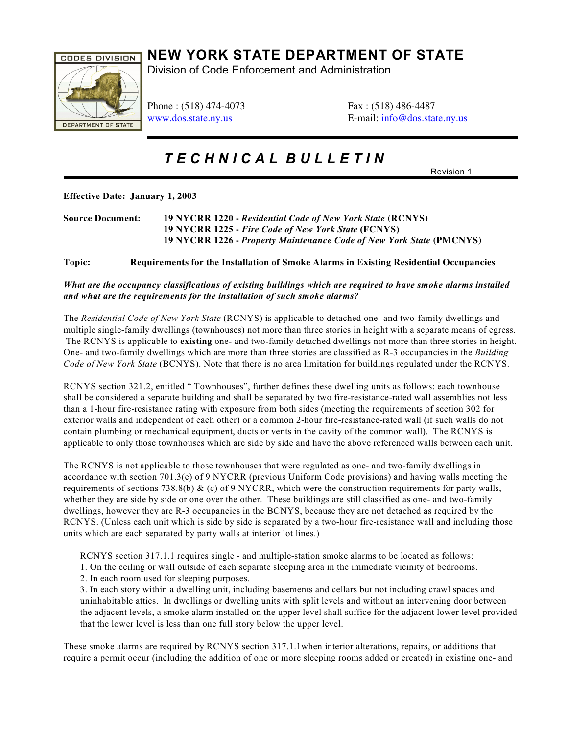

## **NEW YORK STATE DEPARTMENT OF STATE**

Division of Code Enforcement and Administration

Phone : (518) 474-4073 Fax : (518) 486-4487

[www.dos.state.ny.us](http://www.dos.state.ny.us) E-mail: [info@dos.state.ny.us](mailto:info@dos.state.ny.us)

*T E C H N I C A L B U L L E T I N* 

Revision 1

**Effective Date: January 1, 2003**

| <b>Source Document:</b> | 19 NYCRR 1220 - Residential Code of New York State (RCNYS)           |
|-------------------------|----------------------------------------------------------------------|
|                         | 19 NYCRR 1225 - Fire Code of New York State (FCNYS)                  |
|                         | 19 NYCRR 1226 - Property Maintenance Code of New York State (PMCNYS) |

## **Topic: Requirements for the Installation of Smoke Alarms in Existing Residential Occupancies**

## *What are the occupancy classifications of existing buildings which are required to have smoke alarms installed and what are the requirements for the installation of such smoke alarms?*

The *Residential Code of New York State* (RCNYS) is applicable to detached one- and two-family dwellings and multiple single-family dwellings (townhouses) not more than three stories in height with a separate means of egress. The RCNYS is applicable to **existing** one- and two-family detached dwellings not more than three stories in height. One- and two-family dwellings which are more than three stories are classified as R-3 occupancies in the *Building Code of New York State* (BCNYS). Note that there is no area limitation for buildings regulated under the RCNYS.

RCNYS section 321.2, entitled " Townhouses", further defines these dwelling units as follows: each townhouse shall be considered a separate building and shall be separated by two fire-resistance-rated wall assemblies not less than a 1-hour fire-resistance rating with exposure from both sides (meeting the requirements of section 302 for exterior walls and independent of each other) or a common 2-hour fire-resistance-rated wall (if such walls do not contain plumbing or mechanical equipment, ducts or vents in the cavity of the common wall). The RCNYS is applicable to only those townhouses which are side by side and have the above referenced walls between each unit.

The RCNYS is not applicable to those townhouses that were regulated as one- and two-family dwellings in accordance with section 701.3(e) of 9 NYCRR (previous Uniform Code provisions) and having walls meeting the requirements of sections 738.8(b)  $\&$  (c) of 9 NYCRR, which were the construction requirements for party walls, whether they are side by side or one over the other. These buildings are still classified as one- and two-family dwellings, however they are R-3 occupancies in the BCNYS, because they are not detached as required by the RCNYS. (Unless each unit which is side by side is separated by a two-hour fire-resistance wall and including those units which are each separated by party walls at interior lot lines.)

RCNYS section 317.1.1 requires single - and multiple-station smoke alarms to be located as follows:

- 1. On the ceiling or wall outside of each separate sleeping area in the immediate vicinity of bedrooms.
- 2. In each room used for sleeping purposes.

3. In each story within a dwelling unit, including basements and cellars but not including crawl spaces and uninhabitable attics. In dwellings or dwelling units with split levels and without an intervening door between the adjacent levels, a smoke alarm installed on the upper level shall suffice for the adjacent lower level provided that the lower level is less than one full story below the upper level.

These smoke alarms are required by RCNYS section 317.1.1when interior alterations, repairs, or additions that require a permit occur (including the addition of one or more sleeping rooms added or created) in existing one- and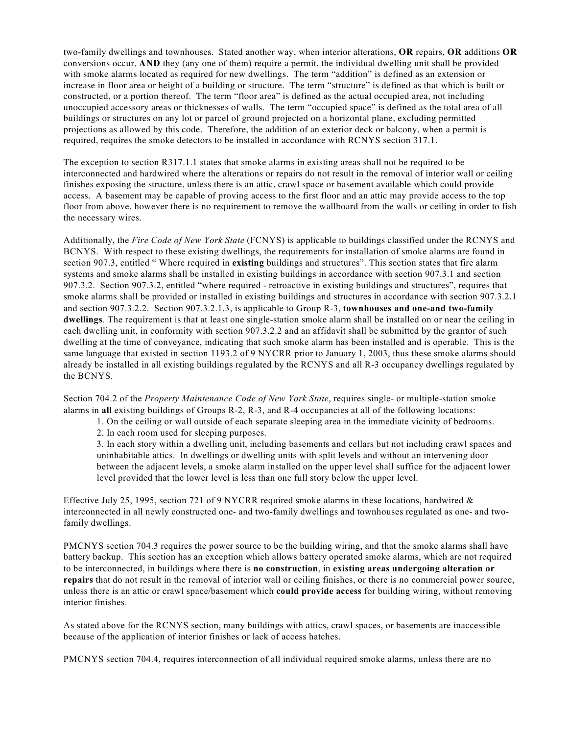two-family dwellings and townhouses. Stated another way, when interior alterations, **OR** repairs, **OR** additions **OR** conversions occur, **AND** they (any one of them) require a permit, the individual dwelling unit shall be provided with smoke alarms located as required for new dwellings. The term "addition" is defined as an extension or increase in floor area or height of a building or structure. The term "structure" is defined as that which is built or constructed, or a portion thereof. The term "floor area" is defined as the actual occupied area, not including unoccupied accessory areas or thicknesses of walls. The term "occupied space" is defined as the total area of all buildings or structures on any lot or parcel of ground projected on a horizontal plane, excluding permitted projections as allowed by this code. Therefore, the addition of an exterior deck or balcony, when a permit is required, requires the smoke detectors to be installed in accordance with RCNYS section 317.1.

The exception to section R317.1.1 states that smoke alarms in existing areas shall not be required to be interconnected and hardwired where the alterations or repairs do not result in the removal of interior wall or ceiling finishes exposing the structure, unless there is an attic, crawl space or basement available which could provide access. A basement may be capable of proving access to the first floor and an attic may provide access to the top floor from above, however there is no requirement to remove the wallboard from the walls or ceiling in order to fish the necessary wires.

Additionally, the *Fire Code of New York State* (FCNYS) is applicable to buildings classified under the RCNYS and BCNYS. With respect to these existing dwellings, the requirements for installation of smoke alarms are found in section 907.3, entitled " Where required in **existing** buildings and structures". This section states that fire alarm systems and smoke alarms shall be installed in existing buildings in accordance with section 907.3.1 and section 907.3.2. Section 907.3.2, entitled "where required - retroactive in existing buildings and structures", requires that smoke alarms shall be provided or installed in existing buildings and structures in accordance with section 907.3.2.1 and section 907.3.2.2. Section 907.3.2.1.3, is applicable to Group R-3, **townhouses and one-and two-family dwellings**. The requirement is that at least one single-station smoke alarm shall be installed on or near the ceiling in each dwelling unit, in conformity with section 907.3.2.2 and an affidavit shall be submitted by the grantor of such dwelling at the time of conveyance, indicating that such smoke alarm has been installed and is operable. This is the same language that existed in section 1193.2 of 9 NYCRR prior to January 1, 2003, thus these smoke alarms should already be installed in all existing buildings regulated by the RCNYS and all R-3 occupancy dwellings regulated by the BCNYS.

Section 704.2 of the *Property Maintenance Code of New York State*, requires single- or multiple-station smoke alarms in **all** existing buildings of Groups R-2, R-3, and R-4 occupancies at all of the following locations:

- 1. On the ceiling or wall outside of each separate sleeping area in the immediate vicinity of bedrooms.
- 2. In each room used for sleeping purposes.

3. In each story within a dwelling unit, including basements and cellars but not including crawl spaces and uninhabitable attics. In dwellings or dwelling units with split levels and without an intervening door between the adjacent levels, a smoke alarm installed on the upper level shall suffice for the adjacent lower level provided that the lower level is less than one full story below the upper level.

Effective July 25, 1995, section 721 of 9 NYCRR required smoke alarms in these locations, hardwired & interconnected in all newly constructed one- and two-family dwellings and townhouses regulated as one- and twofamily dwellings.

PMCNYS section 704.3 requires the power source to be the building wiring, and that the smoke alarms shall have battery backup. This section has an exception which allows battery operated smoke alarms, which are not required to be interconnected, in buildings where there is **no construction**, in **existing areas undergoing alteration or repairs** that do not result in the removal of interior wall or ceiling finishes, or there is no commercial power source, unless there is an attic or crawl space/basement which **could provide access** for building wiring, without removing interior finishes.

As stated above for the RCNYS section, many buildings with attics, crawl spaces, or basements are inaccessible because of the application of interior finishes or lack of access hatches.

PMCNYS section 704.4, requires interconnection of all individual required smoke alarms, unless there are no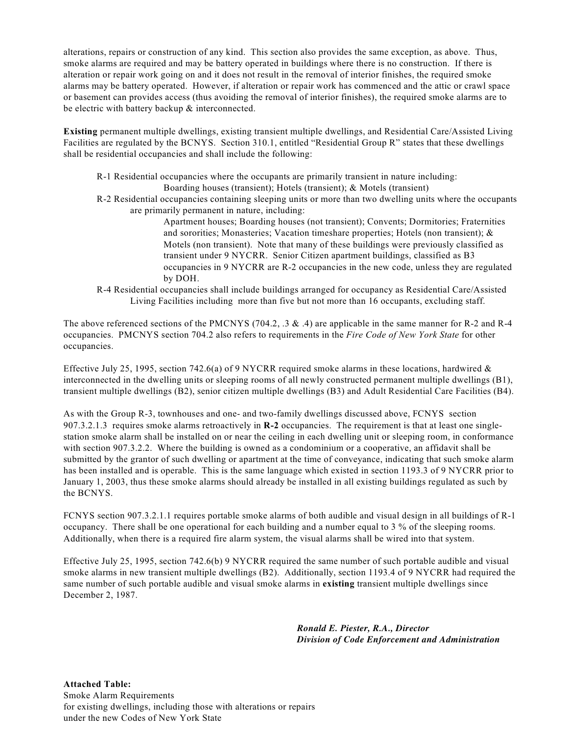alterations, repairs or construction of any kind. This section also provides the same exception, as above. Thus, smoke alarms are required and may be battery operated in buildings where there is no construction. If there is alteration or repair work going on and it does not result in the removal of interior finishes, the required smoke alarms may be battery operated. However, if alteration or repair work has commenced and the attic or crawl space or basement can provides access (thus avoiding the removal of interior finishes), the required smoke alarms are to be electric with battery backup & interconnected.

**Existing** permanent multiple dwellings, existing transient multiple dwellings, and Residential Care/Assisted Living Facilities are regulated by the BCNYS. Section 310.1, entitled "Residential Group R" states that these dwellings shall be residential occupancies and shall include the following:

- R-1 Residential occupancies where the occupants are primarily transient in nature including: Boarding houses (transient); Hotels (transient); & Motels (transient)
- R-2 Residential occupancies containing sleeping units or more than two dwelling units where the occupants are primarily permanent in nature, including:

Apartment houses; Boarding houses (not transient); Convents; Dormitories; Fraternities and sororities; Monasteries; Vacation timeshare properties; Hotels (non transient); & Motels (non transient). Note that many of these buildings were previously classified as transient under 9 NYCRR. Senior Citizen apartment buildings, classified as B3 occupancies in 9 NYCRR are R-2 occupancies in the new code, unless they are regulated by DOH.

R-4 Residential occupancies shall include buildings arranged for occupancy as Residential Care/Assisted Living Facilities including more than five but not more than 16 occupants, excluding staff.

The above referenced sections of the PMCNYS (704.2, .3 & .4) are applicable in the same manner for R-2 and R-4 occupancies. PMCNYS section 704.2 also refers to requirements in the *Fire Code of New York State* for other occupancies.

Effective July 25, 1995, section 742.6(a) of 9 NYCRR required smoke alarms in these locations, hardwired  $\&$ interconnected in the dwelling units or sleeping rooms of all newly constructed permanent multiple dwellings (B1), transient multiple dwellings (B2), senior citizen multiple dwellings (B3) and Adult Residential Care Facilities (B4).

As with the Group R-3, townhouses and one- and two-family dwellings discussed above, FCNYS section 907.3.2.1.3 requires smoke alarms retroactively in **R-2** occupancies. The requirement is that at least one singlestation smoke alarm shall be installed on or near the ceiling in each dwelling unit or sleeping room, in conformance with section 907.3.2.2. Where the building is owned as a condominium or a cooperative, an affidavit shall be submitted by the grantor of such dwelling or apartment at the time of conveyance, indicating that such smoke alarm has been installed and is operable. This is the same language which existed in section 1193.3 of 9 NYCRR prior to January 1, 2003, thus these smoke alarms should already be installed in all existing buildings regulated as such by the BCNYS.

FCNYS section 907.3.2.1.1 requires portable smoke alarms of both audible and visual design in all buildings of R-1 occupancy. There shall be one operational for each building and a number equal to 3 % of the sleeping rooms. Additionally, when there is a required fire alarm system, the visual alarms shall be wired into that system.

Effective July 25, 1995, section 742.6(b) 9 NYCRR required the same number of such portable audible and visual smoke alarms in new transient multiple dwellings (B2). Additionally, section 1193.4 of 9 NYCRR had required the same number of such portable audible and visual smoke alarms in **existing** transient multiple dwellings since December 2, 1987.

> *Ronald E. Piester, R.A., Director Division of Code Enforcement and Administration*